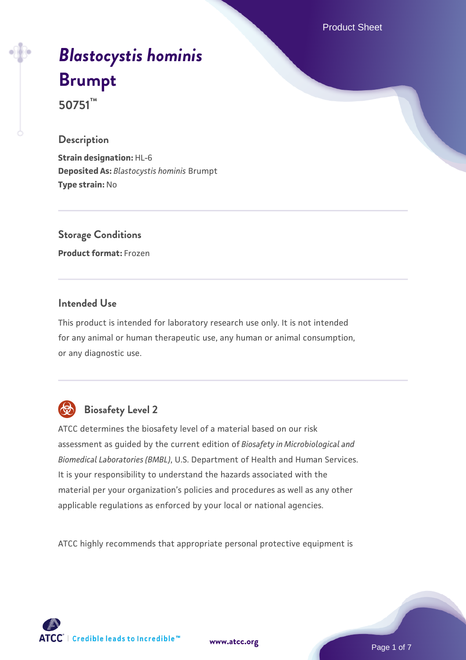Product Sheet

# *[Blastocystis hominis](https://www.atcc.org/products/50751)* **[Brumpt](https://www.atcc.org/products/50751)**

**50751™**

### **Description**

**Strain designation:** HL-6 **Deposited As:** *Blastocystis hominis* Brumpt **Type strain:** No

**Storage Conditions Product format:** Frozen

### **Intended Use**

This product is intended for laboratory research use only. It is not intended for any animal or human therapeutic use, any human or animal consumption, or any diagnostic use.



### **Biosafety Level 2**

ATCC determines the biosafety level of a material based on our risk assessment as guided by the current edition of *Biosafety in Microbiological and Biomedical Laboratories (BMBL)*, U.S. Department of Health and Human Services. It is your responsibility to understand the hazards associated with the material per your organization's policies and procedures as well as any other applicable regulations as enforced by your local or national agencies.

ATCC highly recommends that appropriate personal protective equipment is

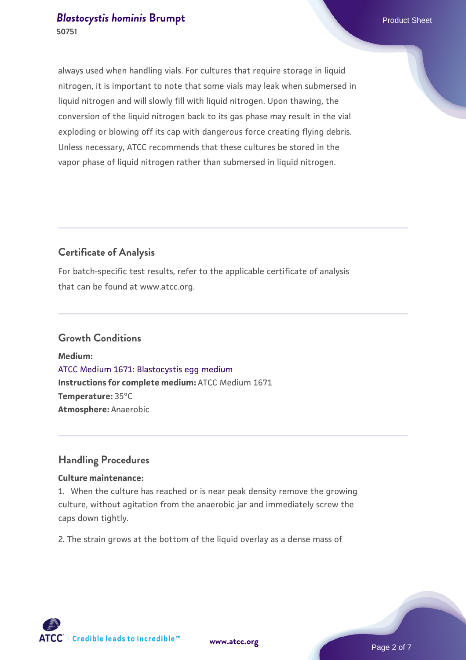always used when handling vials. For cultures that require storage in liquid nitrogen, it is important to note that some vials may leak when submersed in liquid nitrogen and will slowly fill with liquid nitrogen. Upon thawing, the conversion of the liquid nitrogen back to its gas phase may result in the vial exploding or blowing off its cap with dangerous force creating flying debris. Unless necessary, ATCC recommends that these cultures be stored in the vapor phase of liquid nitrogen rather than submersed in liquid nitrogen.

### **Certificate of Analysis**

For batch-specific test results, refer to the applicable certificate of analysis that can be found at www.atcc.org.

### **Growth Conditions**

**Medium:**  [ATCC Medium 1671: Blastocystis egg medium](https://www.atcc.org/-/media/product-assets/documents/microbial-media-formulations/atcc-medium-1671.pdf?rev=da6f8dd4476545c99b1d8cdfe723ddf6) **Instructions for complete medium:** ATCC Medium 1671 **Temperature:** 35°C **Atmosphere:** Anaerobic

### **Handling Procedures**

### **Culture maintenance:**

1. When the culture has reached or is near peak density remove the growing culture, without agitation from the anaerobic jar and immediately screw the caps down tightly.

2. The strain grows at the bottom of the liquid overlay as a dense mass of

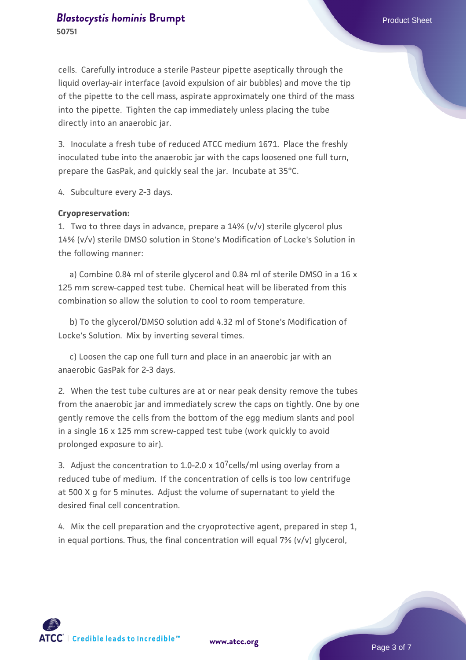cells. Carefully introduce a sterile Pasteur pipette aseptically through the liquid overlay-air interface (avoid expulsion of air bubbles) and move the tip of the pipette to the cell mass, aspirate approximately one third of the mass into the pipette. Tighten the cap immediately unless placing the tube directly into an anaerobic jar.

3. Inoculate a fresh tube of reduced ATCC medium 1671. Place the freshly inoculated tube into the anaerobic jar with the caps loosened one full turn, prepare the GasPak, and quickly seal the jar. Incubate at 35°C.

4. Subculture every 2-3 days.

#### **Cryopreservation:**

1. Two to three days in advance, prepare a 14% (v/v) sterile glycerol plus 14% (v/v) sterile DMSO solution in Stone's Modification of Locke's Solution in the following manner:

 a) Combine 0.84 ml of sterile glycerol and 0.84 ml of sterile DMSO in a 16 x 125 mm screw-capped test tube. Chemical heat will be liberated from this combination so allow the solution to cool to room temperature.

 b) To the glycerol/DMSO solution add 4.32 ml of Stone's Modification of Locke's Solution. Mix by inverting several times.

 c) Loosen the cap one full turn and place in an anaerobic jar with an anaerobic GasPak for 2-3 days.

2. When the test tube cultures are at or near peak density remove the tubes from the anaerobic jar and immediately screw the caps on tightly. One by one gently remove the cells from the bottom of the egg medium slants and pool in a single 16 x 125 mm screw-capped test tube (work quickly to avoid prolonged exposure to air).

3. Adjust the concentration to 1.0-2.0 x  $10^{7}$ cells/ml using overlay from a reduced tube of medium. If the concentration of cells is too low centrifuge at 500 X g for 5 minutes. Adjust the volume of supernatant to yield the desired final cell concentration.

4. Mix the cell preparation and the cryoprotective agent, prepared in step 1, in equal portions. Thus, the final concentration will equal 7% (v/v) glycerol,



**[www.atcc.org](http://www.atcc.org)**

Page 3 of 7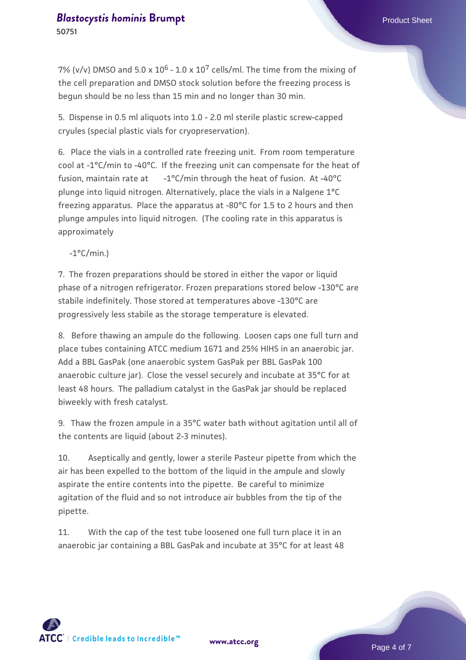**50751**

7% (v/v) DMSO and 5.0 x  $10^6$  - 1.0 x  $10^7$  cells/ml. The time from the mixing of the cell preparation and DMSO stock solution before the freezing process is begun should be no less than 15 min and no longer than 30 min.

5. Dispense in 0.5 ml aliquots into 1.0 - 2.0 ml sterile plastic screw-capped cryules (special plastic vials for cryopreservation).

6. Place the vials in a controlled rate freezing unit. From room temperature cool at -1°C/min to -40°C. If the freezing unit can compensate for the heat of fusion, maintain rate at  $-1^{\circ}C/min$  through the heat of fusion. At -40 $^{\circ}C$ plunge into liquid nitrogen. Alternatively, place the vials in a Nalgene 1°C freezing apparatus. Place the apparatus at -80°C for 1.5 to 2 hours and then plunge ampules into liquid nitrogen. (The cooling rate in this apparatus is approximately

 $-1$ °C/min.)

7. The frozen preparations should be stored in either the vapor or liquid phase of a nitrogen refrigerator. Frozen preparations stored below -130°C are stabile indefinitely. Those stored at temperatures above -130°C are progressively less stabile as the storage temperature is elevated.

8. Before thawing an ampule do the following. Loosen caps one full turn and place tubes containing ATCC medium 1671 and 25% HIHS in an anaerobic jar. Add a BBL GasPak (one anaerobic system GasPak per BBL GasPak 100 anaerobic culture jar). Close the vessel securely and incubate at 35°C for at least 48 hours. The palladium catalyst in the GasPak jar should be replaced biweekly with fresh catalyst.

9. Thaw the frozen ampule in a 35°C water bath without agitation until all of the contents are liquid (about 2-3 minutes).

10. Aseptically and gently, lower a sterile Pasteur pipette from which the air has been expelled to the bottom of the liquid in the ampule and slowly aspirate the entire contents into the pipette. Be careful to minimize agitation of the fluid and so not introduce air bubbles from the tip of the pipette.

11. With the cap of the test tube loosened one full turn place it in an anaerobic jar containing a BBL GasPak and incubate at 35°C for at least 48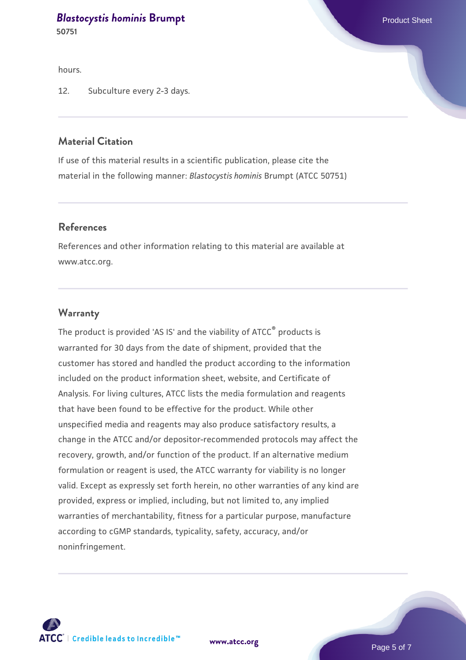**50751**

hours.

12. Subculture every 2-3 days.

### **Material Citation**

If use of this material results in a scientific publication, please cite the material in the following manner: *Blastocystis hominis* Brumpt (ATCC 50751)

### **References**

References and other information relating to this material are available at www.atcc.org.

#### **Warranty**

The product is provided 'AS IS' and the viability of ATCC<sup>®</sup> products is warranted for 30 days from the date of shipment, provided that the customer has stored and handled the product according to the information included on the product information sheet, website, and Certificate of Analysis. For living cultures, ATCC lists the media formulation and reagents that have been found to be effective for the product. While other unspecified media and reagents may also produce satisfactory results, a change in the ATCC and/or depositor-recommended protocols may affect the recovery, growth, and/or function of the product. If an alternative medium formulation or reagent is used, the ATCC warranty for viability is no longer valid. Except as expressly set forth herein, no other warranties of any kind are provided, express or implied, including, but not limited to, any implied warranties of merchantability, fitness for a particular purpose, manufacture according to cGMP standards, typicality, safety, accuracy, and/or noninfringement.



**[www.atcc.org](http://www.atcc.org)**

Page 5 of 7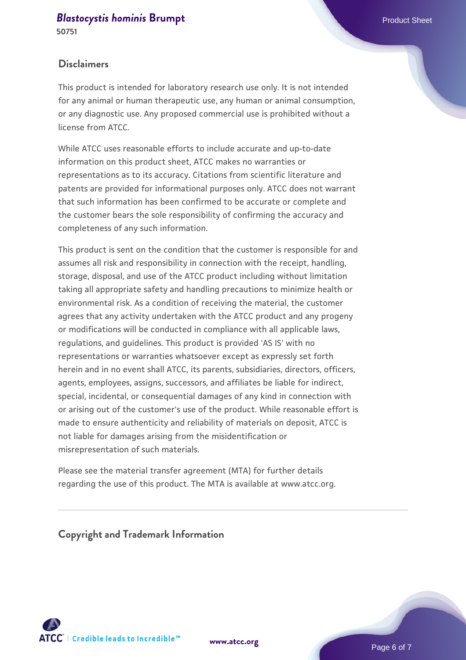**50751**

### **Disclaimers**

This product is intended for laboratory research use only. It is not intended for any animal or human therapeutic use, any human or animal consumption, or any diagnostic use. Any proposed commercial use is prohibited without a license from ATCC.

While ATCC uses reasonable efforts to include accurate and up-to-date information on this product sheet, ATCC makes no warranties or representations as to its accuracy. Citations from scientific literature and patents are provided for informational purposes only. ATCC does not warrant that such information has been confirmed to be accurate or complete and the customer bears the sole responsibility of confirming the accuracy and completeness of any such information.

This product is sent on the condition that the customer is responsible for and assumes all risk and responsibility in connection with the receipt, handling, storage, disposal, and use of the ATCC product including without limitation taking all appropriate safety and handling precautions to minimize health or environmental risk. As a condition of receiving the material, the customer agrees that any activity undertaken with the ATCC product and any progeny or modifications will be conducted in compliance with all applicable laws, regulations, and guidelines. This product is provided 'AS IS' with no representations or warranties whatsoever except as expressly set forth herein and in no event shall ATCC, its parents, subsidiaries, directors, officers, agents, employees, assigns, successors, and affiliates be liable for indirect, special, incidental, or consequential damages of any kind in connection with or arising out of the customer's use of the product. While reasonable effort is made to ensure authenticity and reliability of materials on deposit, ATCC is not liable for damages arising from the misidentification or misrepresentation of such materials.

Please see the material transfer agreement (MTA) for further details regarding the use of this product. The MTA is available at www.atcc.org.

**Copyright and Trademark Information**





Page 6 of 7